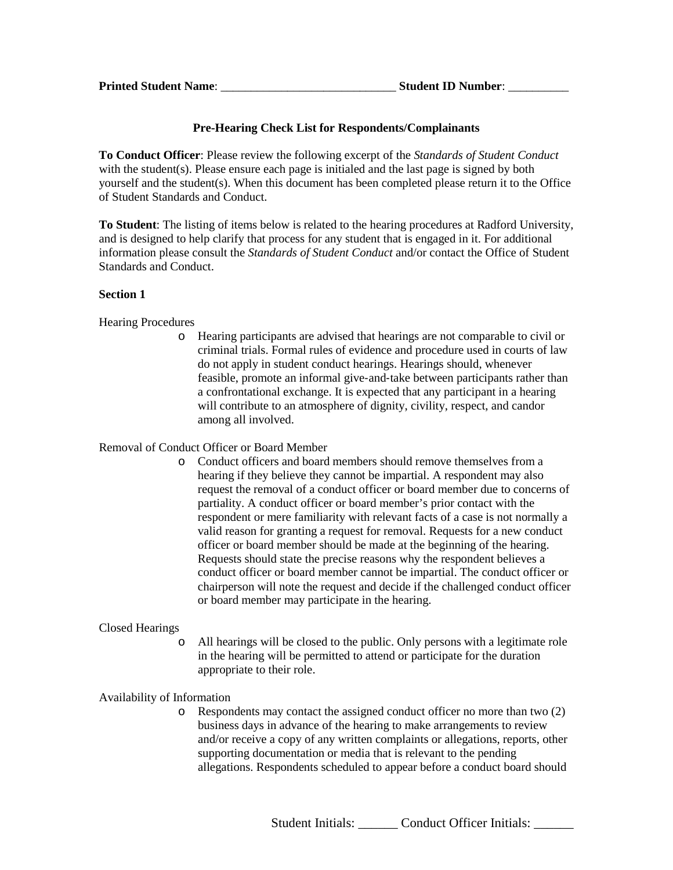# **Pre-Hearing Check List for Respondents/Complainants**

**To Conduct Officer**: Please review the following excerpt of the *Standards of Student Conduct* with the student(s). Please ensure each page is initialed and the last page is signed by both yourself and the student(s). When this document has been completed please return it to the Office of Student Standards and Conduct.

**To Student**: The listing of items below is related to the hearing procedures at Radford University, and is designed to help clarify that process for any student that is engaged in it. For additional information please consult the *Standards of Student Conduct* and/or contact the Office of Student Standards and Conduct.

## **Section 1**

# Hearing Procedures

o Hearing participants are advised that hearings are not comparable to civil or criminal trials. Formal rules of evidence and procedure used in courts of law do not apply in student conduct hearings. Hearings should, whenever feasible, promote an informal give‐and‐take between participants rather than a confrontational exchange. It is expected that any participant in a hearing will contribute to an atmosphere of dignity, civility, respect, and candor among all involved.

# Removal of Conduct Officer or Board Member

o Conduct officers and board members should remove themselves from a hearing if they believe they cannot be impartial. A respondent may also request the removal of a conduct officer or board member due to concerns of partiality. A conduct officer or board member's prior contact with the respondent or mere familiarity with relevant facts of a case is not normally a valid reason for granting a request for removal. Requests for a new conduct officer or board member should be made at the beginning of the hearing. Requests should state the precise reasons why the respondent believes a conduct officer or board member cannot be impartial. The conduct officer or chairperson will note the request and decide if the challenged conduct officer or board member may participate in the hearing.

# Closed Hearings

o All hearings will be closed to the public. Only persons with a legitimate role in the hearing will be permitted to attend or participate for the duration appropriate to their role.

# Availability of Information

o Respondents may contact the assigned conduct officer no more than two (2) business days in advance of the hearing to make arrangements to review and/or receive a copy of any written complaints or allegations, reports, other supporting documentation or media that is relevant to the pending allegations. Respondents scheduled to appear before a conduct board should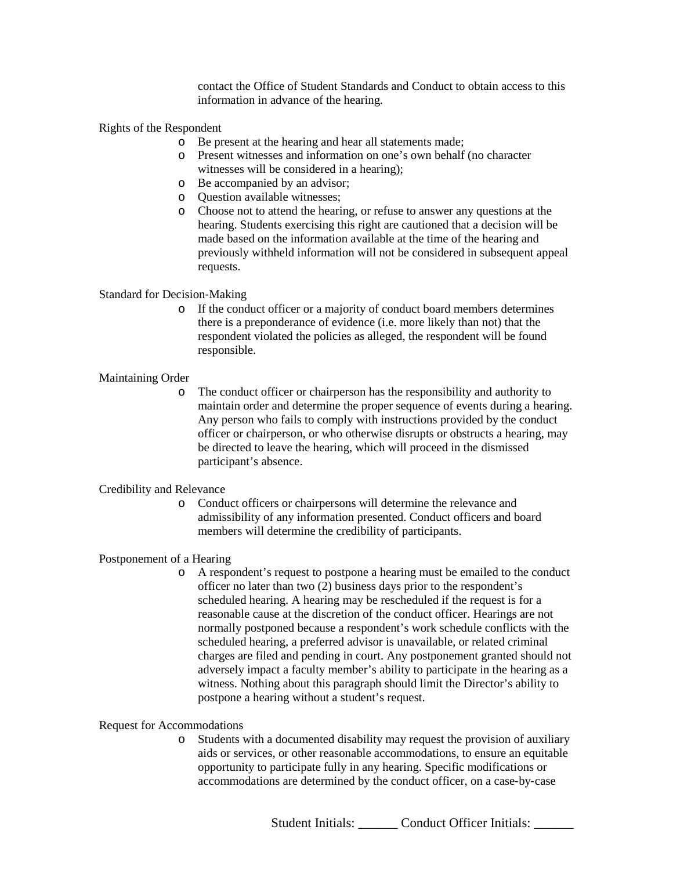contact the Office of Student Standards and Conduct to obtain access to this information in advance of the hearing.

Rights of the Respondent

- o Be present at the hearing and hear all statements made;
- o Present witnesses and information on one's own behalf (no character witnesses will be considered in a hearing);
- o Be accompanied by an advisor;
- o Question available witnesses;
- o Choose not to attend the hearing, or refuse to answer any questions at the hearing. Students exercising this right are cautioned that a decision will be made based on the information available at the time of the hearing and previously withheld information will not be considered in subsequent appeal requests.

## Standard for Decision‐Making

o If the conduct officer or a majority of conduct board members determines there is a preponderance of evidence (i.e. more likely than not) that the respondent violated the policies as alleged, the respondent will be found responsible.

## Maintaining Order

o The conduct officer or chairperson has the responsibility and authority to maintain order and determine the proper sequence of events during a hearing. Any person who fails to comply with instructions provided by the conduct officer or chairperson, or who otherwise disrupts or obstructs a hearing, may be directed to leave the hearing, which will proceed in the dismissed participant's absence.

### Credibility and Relevance

o Conduct officers or chairpersons will determine the relevance and admissibility of any information presented. Conduct officers and board members will determine the credibility of participants.

### Postponement of a Hearing

o A respondent's request to postpone a hearing must be emailed to the conduct officer no later than two (2) business days prior to the respondent's scheduled hearing. A hearing may be rescheduled if the request is for a reasonable cause at the discretion of the conduct officer. Hearings are not normally postponed because a respondent's work schedule conflicts with the scheduled hearing, a preferred advisor is unavailable, or related criminal charges are filed and pending in court. Any postponement granted should not adversely impact a faculty member's ability to participate in the hearing as a witness. Nothing about this paragraph should limit the Director's ability to postpone a hearing without a student's request.

### Request for Accommodations

o Students with a documented disability may request the provision of auxiliary aids or services, or other reasonable accommodations, to ensure an equitable opportunity to participate fully in any hearing. Specific modifications or accommodations are determined by the conduct officer, on a case‐by‐case

Student Initials: Conduct Officer Initials: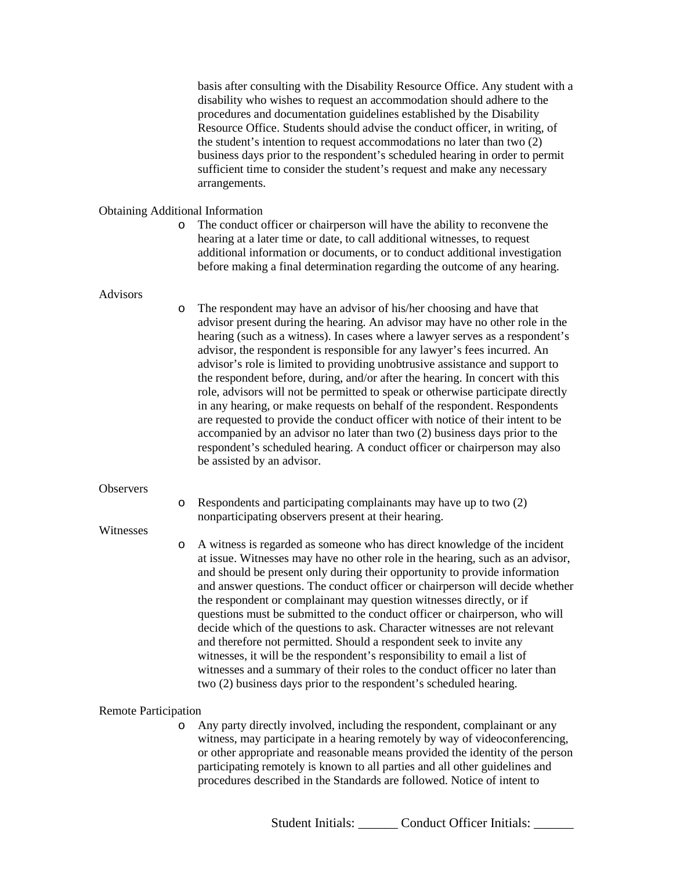basis after consulting with the Disability Resource Office. Any student with a disability who wishes to request an accommodation should adhere to the procedures and documentation guidelines established by the Disability Resource Office. Students should advise the conduct officer, in writing, of the student's intention to request accommodations no later than two (2) business days prior to the respondent's scheduled hearing in order to permit sufficient time to consider the student's request and make any necessary arrangements.

### Obtaining Additional Information

o The conduct officer or chairperson will have the ability to reconvene the hearing at a later time or date, to call additional witnesses, to request additional information or documents, or to conduct additional investigation before making a final determination regarding the outcome of any hearing.

#### Advisors

o The respondent may have an advisor of his/her choosing and have that advisor present during the hearing. An advisor may have no other role in the hearing (such as a witness). In cases where a lawyer serves as a respondent's advisor, the respondent is responsible for any lawyer's fees incurred. An advisor's role is limited to providing unobtrusive assistance and support to the respondent before, during, and/or after the hearing. In concert with this role, advisors will not be permitted to speak or otherwise participate directly in any hearing, or make requests on behalf of the respondent. Respondents are requested to provide the conduct officer with notice of their intent to be accompanied by an advisor no later than two (2) business days prior to the respondent's scheduled hearing. A conduct officer or chairperson may also be assisted by an advisor.

#### **Observers**

o Respondents and participating complainants may have up to two (2) nonparticipating observers present at their hearing.

#### Witnesses

o A witness is regarded as someone who has direct knowledge of the incident at issue. Witnesses may have no other role in the hearing, such as an advisor, and should be present only during their opportunity to provide information and answer questions. The conduct officer or chairperson will decide whether the respondent or complainant may question witnesses directly, or if questions must be submitted to the conduct officer or chairperson, who will decide which of the questions to ask. Character witnesses are not relevant and therefore not permitted. Should a respondent seek to invite any witnesses, it will be the respondent's responsibility to email a list of witnesses and a summary of their roles to the conduct officer no later than two (2) business days prior to the respondent's scheduled hearing.

#### Remote Participation

o Any party directly involved, including the respondent, complainant or any witness, may participate in a hearing remotely by way of videoconferencing, or other appropriate and reasonable means provided the identity of the person participating remotely is known to all parties and all other guidelines and procedures described in the Standards are followed. Notice of intent to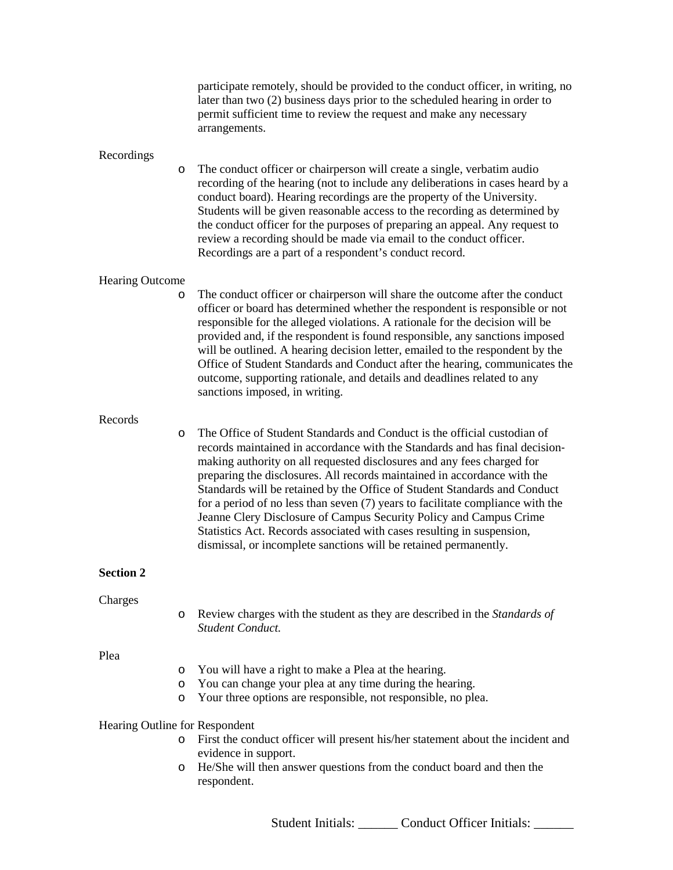|                                |             | participate remotely, should be provided to the conduct officer, in writing, no<br>later than two (2) business days prior to the scheduled hearing in order to<br>permit sufficient time to review the request and make any necessary<br>arrangements.                                                                                                                                                                                                                                                                                                                                                                                                                                           |
|--------------------------------|-------------|--------------------------------------------------------------------------------------------------------------------------------------------------------------------------------------------------------------------------------------------------------------------------------------------------------------------------------------------------------------------------------------------------------------------------------------------------------------------------------------------------------------------------------------------------------------------------------------------------------------------------------------------------------------------------------------------------|
| Recordings                     | O           | The conduct officer or chairperson will create a single, verbatim audio<br>recording of the hearing (not to include any deliberations in cases heard by a<br>conduct board). Hearing recordings are the property of the University.<br>Students will be given reasonable access to the recording as determined by<br>the conduct officer for the purposes of preparing an appeal. Any request to<br>review a recording should be made via email to the conduct officer.<br>Recordings are a part of a respondent's conduct record.                                                                                                                                                               |
| <b>Hearing Outcome</b>         | O           | The conduct officer or chairperson will share the outcome after the conduct<br>officer or board has determined whether the respondent is responsible or not<br>responsible for the alleged violations. A rationale for the decision will be<br>provided and, if the respondent is found responsible, any sanctions imposed<br>will be outlined. A hearing decision letter, emailed to the respondent by the<br>Office of Student Standards and Conduct after the hearing, communicates the<br>outcome, supporting rationale, and details and deadlines related to any<br>sanctions imposed, in writing.                                                                                          |
| Records                        | O           | The Office of Student Standards and Conduct is the official custodian of<br>records maintained in accordance with the Standards and has final decision-<br>making authority on all requested disclosures and any fees charged for<br>preparing the disclosures. All records maintained in accordance with the<br>Standards will be retained by the Office of Student Standards and Conduct<br>for a period of no less than seven (7) years to facilitate compliance with the<br>Jeanne Clery Disclosure of Campus Security Policy and Campus Crime<br>Statistics Act. Records associated with cases resulting in suspension,<br>dismissal, or incomplete sanctions will be retained permanently. |
| <b>Section 2</b>               |             |                                                                                                                                                                                                                                                                                                                                                                                                                                                                                                                                                                                                                                                                                                  |
| Charges                        | O           | Review charges with the student as they are described in the Standards of<br>Student Conduct.                                                                                                                                                                                                                                                                                                                                                                                                                                                                                                                                                                                                    |
| Plea                           | O<br>O<br>O | You will have a right to make a Plea at the hearing.<br>You can change your plea at any time during the hearing.<br>Your three options are responsible, not responsible, no plea.                                                                                                                                                                                                                                                                                                                                                                                                                                                                                                                |
| Hearing Outline for Respondent | O           | First the conduct officer will present his/her statement about the incident and<br>evidence in support.                                                                                                                                                                                                                                                                                                                                                                                                                                                                                                                                                                                          |
|                                | O           | He/She will then answer questions from the conduct board and then the<br>respondent.                                                                                                                                                                                                                                                                                                                                                                                                                                                                                                                                                                                                             |

Student Initials: \_\_\_\_\_\_ Conduct Officer Initials: \_\_\_\_\_\_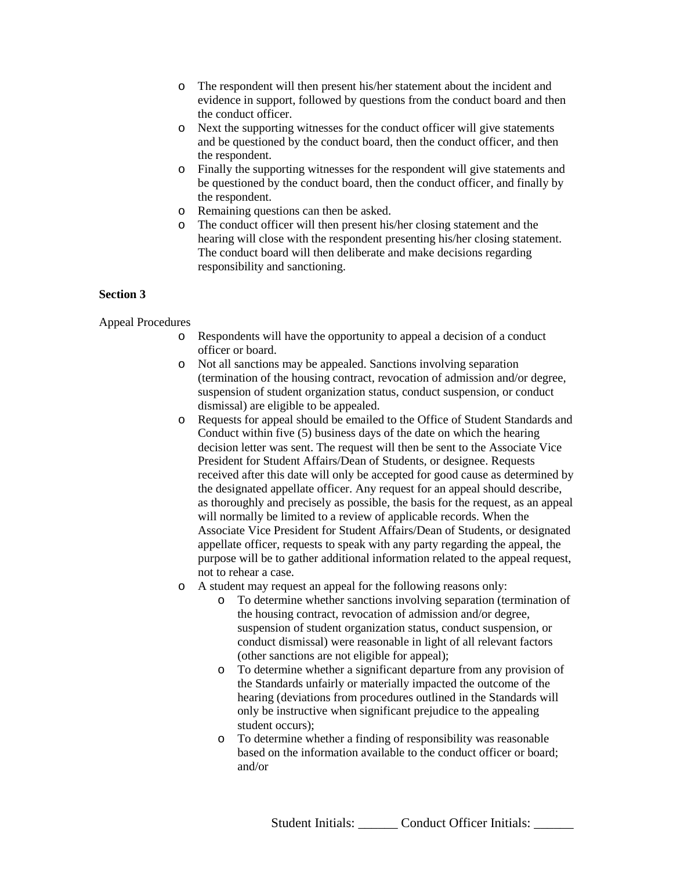- o The respondent will then present his/her statement about the incident and evidence in support, followed by questions from the conduct board and then the conduct officer.
- o Next the supporting witnesses for the conduct officer will give statements and be questioned by the conduct board, then the conduct officer, and then the respondent.
- o Finally the supporting witnesses for the respondent will give statements and be questioned by the conduct board, then the conduct officer, and finally by the respondent.
- o Remaining questions can then be asked.
- o The conduct officer will then present his/her closing statement and the hearing will close with the respondent presenting his/her closing statement. The conduct board will then deliberate and make decisions regarding responsibility and sanctioning.

## **Section 3**

Appeal Procedures

- o Respondents will have the opportunity to appeal a decision of a conduct officer or board.
- o Not all sanctions may be appealed. Sanctions involving separation (termination of the housing contract, revocation of admission and/or degree, suspension of student organization status, conduct suspension, or conduct dismissal) are eligible to be appealed.
- o Requests for appeal should be emailed to the Office of Student Standards and Conduct within five (5) business days of the date on which the hearing decision letter was sent. The request will then be sent to the Associate Vice President for Student Affairs/Dean of Students, or designee. Requests received after this date will only be accepted for good cause as determined by the designated appellate officer. Any request for an appeal should describe, as thoroughly and precisely as possible, the basis for the request, as an appeal will normally be limited to a review of applicable records. When the Associate Vice President for Student Affairs/Dean of Students, or designated appellate officer, requests to speak with any party regarding the appeal, the purpose will be to gather additional information related to the appeal request, not to rehear a case.
- o A student may request an appeal for the following reasons only:
	- o To determine whether sanctions involving separation (termination of the housing contract, revocation of admission and/or degree, suspension of student organization status, conduct suspension, or conduct dismissal) were reasonable in light of all relevant factors (other sanctions are not eligible for appeal);
	- o To determine whether a significant departure from any provision of the Standards unfairly or materially impacted the outcome of the hearing (deviations from procedures outlined in the Standards will only be instructive when significant prejudice to the appealing student occurs);
	- o To determine whether a finding of responsibility was reasonable based on the information available to the conduct officer or board; and/or